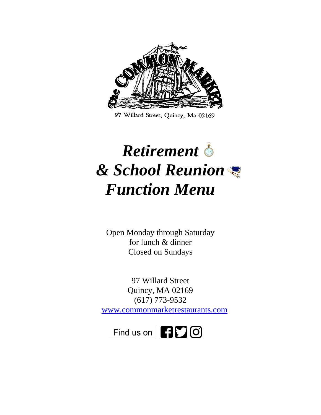

97 Willard Street, Quincy, Ma 02169

# *Retirement & School Reunion Function Menu*

Open Monday through Saturday for lunch & dinner Closed on Sundays

97 Willard Street Quincy, MA 02169 (617) 773-9532 [www.commonmarketrestaurants.com](http://www.commonmarketrestaurants.com/)

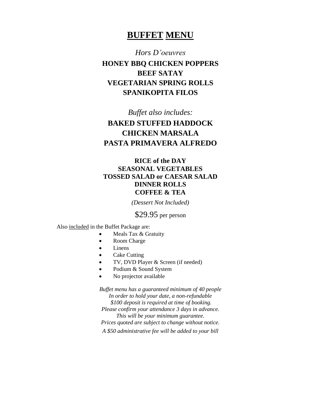# **BUFFET MENU**

*Hors D'oeuvres*

**HONEY BBQ CHICKEN POPPERS BEEF SATAY VEGETARIAN SPRING ROLLS SPANIKOPITA FILOS**

*Buffet also includes:*

# **BAKED STUFFED HADDOCK CHICKEN MARSALA PASTA PRIMAVERA ALFREDO**

#### **RICE of the DAY SEASONAL VEGETABLES TOSSED SALAD or CAESAR SALAD DINNER ROLLS COFFEE & TEA**

*(Dessert Not Included)*

\$29.95 per person

Also included in the Buffet Package are:

- Meals Tax & Gratuity
- Room Charge
- Linens
- Cake Cutting
- TV, DVD Player & Screen (if needed)
- Podium & Sound System
- No projector available

*Buffet menu has a guaranteed minimum of 40 people In order to hold your date, a non-refundable \$100 deposit is required at time of booking. Please confirm your attendance 3 days in advance. This will be your minimum guarantee. Prices quoted are subject to change without notice.*

*A \$50 administrative fee will be added to your bill*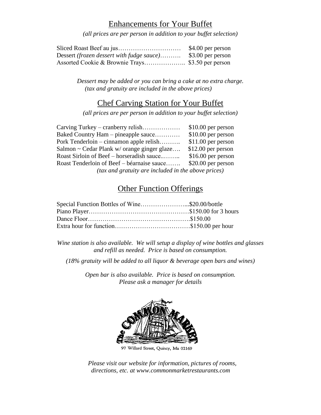# Enhancements for Your Buffet

*(all prices are per person in addition to your buffet selection)*

|                                                                    | \$4.00 per person |
|--------------------------------------------------------------------|-------------------|
| Dessert <i>(frozen dessert with fudge sauce)</i> \$3.00 per person |                   |
|                                                                    |                   |

*Dessert may be added or you can bring a cake at no extra charge. (tax and gratuity are included in the above prices)*

#### Chef Carving Station for Your Buffet

*(all prices are per person in addition to your buffet selection)*

|                                                     | $$10.00$ per person |  |
|-----------------------------------------------------|---------------------|--|
| Baked Country Ham – pineapple sauce                 | $$10.00$ per person |  |
| Pork Tenderloin – cinnamon apple relish             | $$11.00$ per person |  |
| Salmon ~ Cedar Plank w/ orange ginger glaze         | $$12.00$ per person |  |
| Roast Sirloin of Beef – horseradish sauce           | $$16.00$ per person |  |
| Roast Tenderloin of Beef – béarnaise sauce          | $$20.00$ per person |  |
| (tax and gratuity are included in the above prices) |                     |  |

# **Other Function Offerings**

| Special Function Bottles of Wine\$20.00/bottle |  |
|------------------------------------------------|--|
|                                                |  |
|                                                |  |
|                                                |  |

*Wine station is also available. We will setup a display of wine bottles and glasses and refill as needed. Price is based on consumption.*

*(18% gratuity will be added to all liquor & beverage open bars and wines)*

*Open bar is also available. Price is based on consumption. Please ask a manager for details*



 *Please visit our website for information, pictures of rooms, directions, etc. at www.commonmarketrestaurants.com*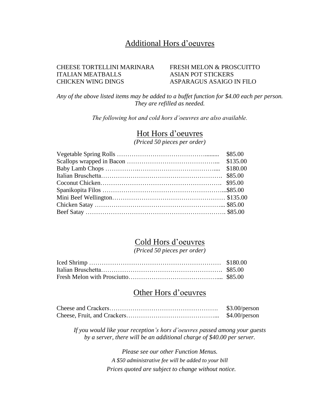### Additional Hors d'oeuvres

#### CHEESE TORTELLINI MARINARA FRESH MELON & PROSCUITTO ITALIAN MEATBALLS ASIAN POT STICKERS CHICKEN WING DINGS ASPARAGUS ASAIGO IN FILO

*Any of the above listed items may be added to a buffet function for \$4.00 each per person. They are refilled as needed.* 

*The following hot and cold hors d'oeuvres are also available.*

#### Hot Hors d'oeuvres

*(Priced 50 pieces per order)*

#### Cold Hors d'oeuvres

*(Priced 50 pieces per order)*

### Other Hors d'oeuvres

| \$3.00/person |
|---------------|
| \$4.00/person |

*If you would like your reception's hors d'oeuvres passed among your guests by a server, there will be an additional charge of \$40.00 per server.*

> *Please see our other Function Menus. A \$50 administrative fee will be added to your bill Prices quoted are subject to change without notice.*